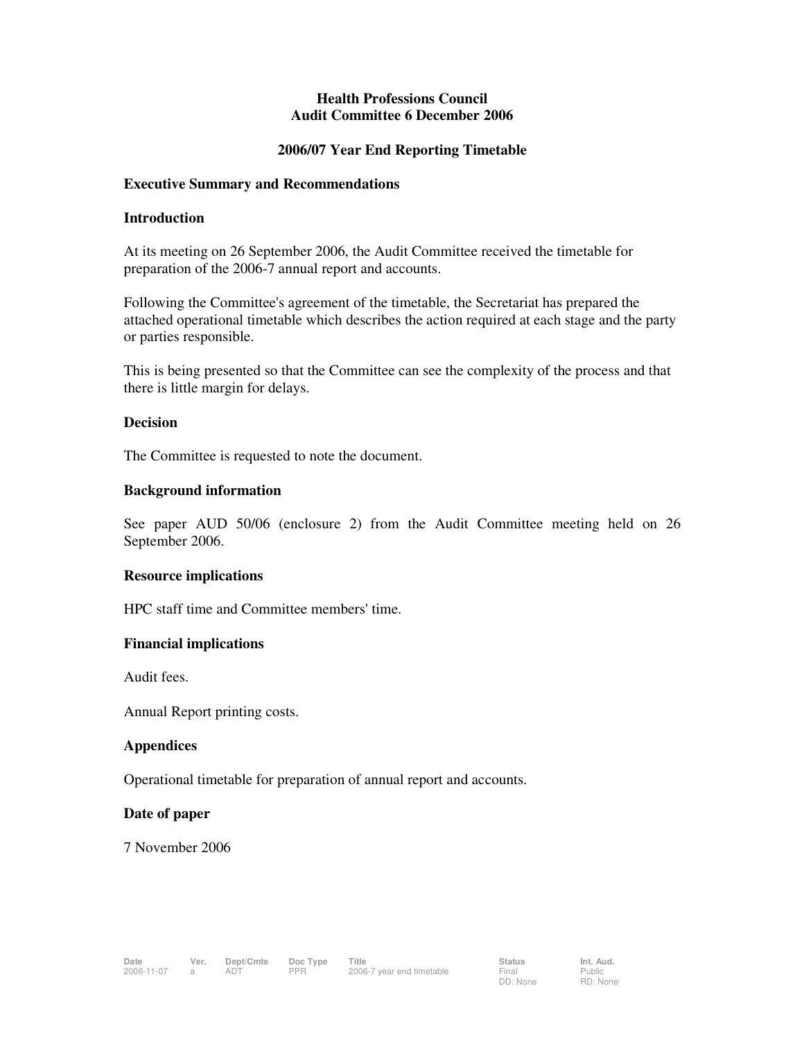# **Health Professions Council Audit Committee 6 December 2006**

# **2006/07 Year End Reporting Timetable**

#### **Executive Summary and Recommendations**

#### **Introduction**

At its meeting on 26 September 2006, the Audit Committee received the timetable for preparation of the 2006-7 annual report and accounts.

Following the Committee's agreement of the timetable, the Secretariat has prepared the attached operational timetable which describes the action required at each stage and the party or parties responsible.

This is being presented so that the Committee can see the complexity of the process and that there is little margin for delays.

#### **Decision**

The Committee is requested to note the document.

#### **Background information**

See paper AUD 50/06 (enclosure 2) from the Audit Committee meeting held on 26 September 2006.

# **Resource implications**

HPC staff time and Committee members' time.

# **Financial implications**

Audit fees.

Annual Report printing costs.

# **Appendices**

Operational timetable for preparation of annual report and accounts.

# **Date of paper**

7 November 2006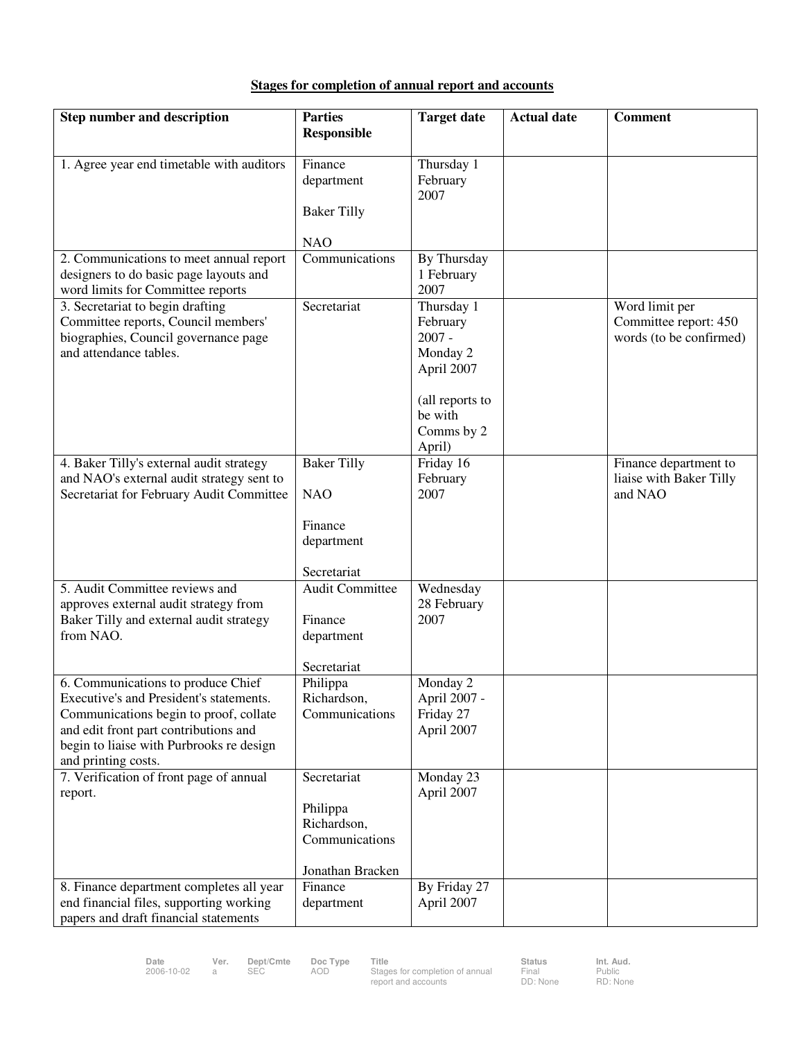# **Stages for completion of annual report and accounts**

| <b>Step number and description</b>                                                    | <b>Parties</b>                | <b>Target date</b>        | <b>Actual date</b> | <b>Comment</b>                     |
|---------------------------------------------------------------------------------------|-------------------------------|---------------------------|--------------------|------------------------------------|
|                                                                                       | Responsible                   |                           |                    |                                    |
| 1. Agree year end timetable with auditors                                             | Finance                       | Thursday 1                |                    |                                    |
|                                                                                       | department                    | February                  |                    |                                    |
|                                                                                       |                               | 2007                      |                    |                                    |
|                                                                                       | <b>Baker Tilly</b>            |                           |                    |                                    |
|                                                                                       | <b>NAO</b>                    |                           |                    |                                    |
| 2. Communications to meet annual report                                               | Communications                | By Thursday               |                    |                                    |
| designers to do basic page layouts and<br>word limits for Committee reports           |                               | 1 February<br>2007        |                    |                                    |
| 3. Secretariat to begin drafting                                                      | Secretariat                   | Thursday 1                |                    | Word limit per                     |
| Committee reports, Council members'                                                   |                               | February                  |                    | Committee report: 450              |
| biographies, Council governance page                                                  |                               | $2007 -$                  |                    | words (to be confirmed)            |
| and attendance tables.                                                                |                               | Monday 2                  |                    |                                    |
|                                                                                       |                               | April 2007                |                    |                                    |
|                                                                                       |                               | (all reports to           |                    |                                    |
|                                                                                       |                               | be with                   |                    |                                    |
|                                                                                       |                               | Comms by 2                |                    |                                    |
|                                                                                       |                               | April)                    |                    |                                    |
| 4. Baker Tilly's external audit strategy                                              | <b>Baker Tilly</b>            | Friday 16                 |                    | Finance department to              |
| and NAO's external audit strategy sent to<br>Secretariat for February Audit Committee | <b>NAO</b>                    | February<br>2007          |                    | liaise with Baker Tilly<br>and NAO |
|                                                                                       |                               |                           |                    |                                    |
|                                                                                       | Finance                       |                           |                    |                                    |
|                                                                                       | department                    |                           |                    |                                    |
|                                                                                       | Secretariat                   |                           |                    |                                    |
| 5. Audit Committee reviews and                                                        | <b>Audit Committee</b>        | Wednesday                 |                    |                                    |
| approves external audit strategy from<br>Baker Tilly and external audit strategy      | Finance                       | 28 February<br>2007       |                    |                                    |
| from NAO.                                                                             | department                    |                           |                    |                                    |
|                                                                                       |                               |                           |                    |                                    |
|                                                                                       | Secretariat                   |                           |                    |                                    |
| 6. Communications to produce Chief<br>Executive's and President's statements.         | Philippa                      | Monday 2                  |                    |                                    |
| Communications begin to proof, collate                                                | Richardson,<br>Communications | April 2007 -<br>Friday 27 |                    |                                    |
| and edit front part contributions and                                                 |                               | April 2007                |                    |                                    |
| begin to liaise with Purbrooks re design                                              |                               |                           |                    |                                    |
| and printing costs.                                                                   |                               |                           |                    |                                    |
| 7. Verification of front page of annual<br>report.                                    | Secretariat                   | Monday 23<br>April 2007   |                    |                                    |
|                                                                                       | Philippa                      |                           |                    |                                    |
|                                                                                       | Richardson,                   |                           |                    |                                    |
|                                                                                       | Communications                |                           |                    |                                    |
|                                                                                       | Jonathan Bracken              |                           |                    |                                    |
| 8. Finance department completes all year                                              | Finance                       | By Friday 27              |                    |                                    |
| end financial files, supporting working                                               | department                    | April 2007                |                    |                                    |
| papers and draft financial statements                                                 |                               |                           |                    |                                    |

Date Ver. Dept/Cmte Doc Type Title **Interport Communist Club Status Int. Aud.**<br>2006-10-02 a SEC AOD Stages for completion of annual Final Public<br>report and accounts DD: None RD: Non

Final<br>DD: None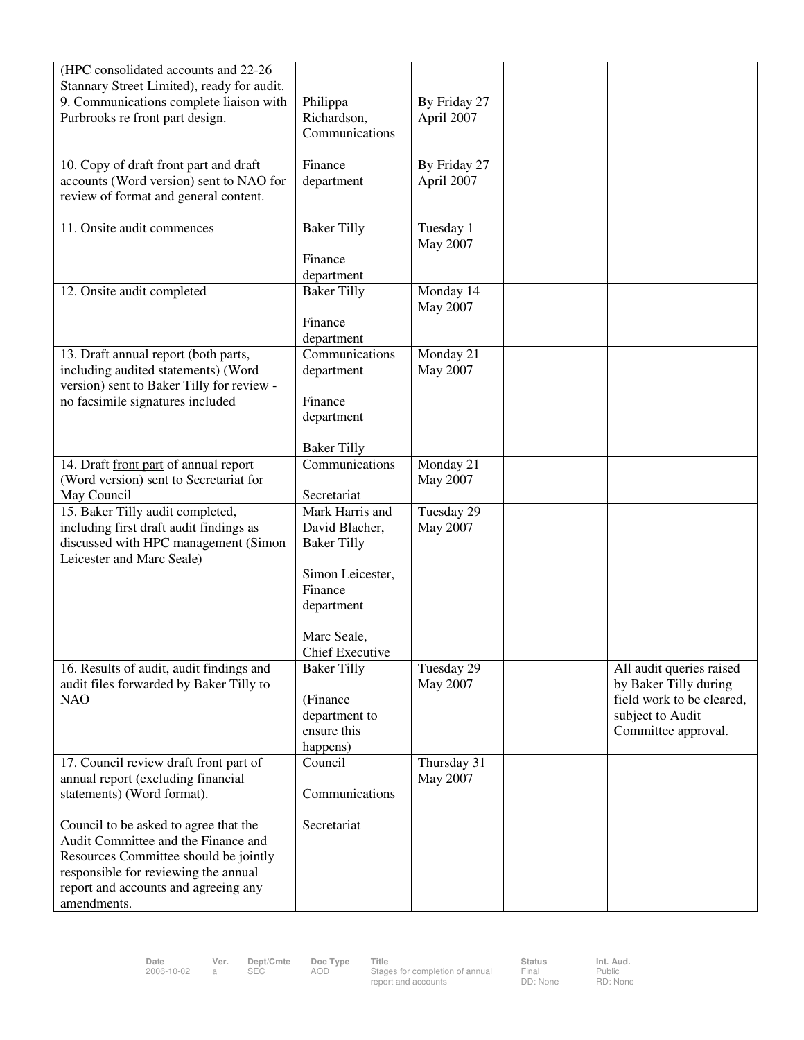| (HPC consolidated accounts and 22-26)      |                               |              |                           |
|--------------------------------------------|-------------------------------|--------------|---------------------------|
| Stannary Street Limited), ready for audit. |                               |              |                           |
| 9. Communications complete liaison with    | Philippa                      | By Friday 27 |                           |
| Purbrooks re front part design.            | Richardson,<br>Communications | April 2007   |                           |
|                                            |                               |              |                           |
| 10. Copy of draft front part and draft     | Finance                       | By Friday 27 |                           |
| accounts (Word version) sent to NAO for    | department                    | April 2007   |                           |
| review of format and general content.      |                               |              |                           |
|                                            |                               |              |                           |
| 11. Onsite audit commences                 | <b>Baker Tilly</b>            | Tuesday 1    |                           |
|                                            |                               | May 2007     |                           |
|                                            | Finance                       |              |                           |
|                                            | department                    |              |                           |
| 12. Onsite audit completed                 | <b>Baker Tilly</b>            | Monday 14    |                           |
|                                            |                               | May 2007     |                           |
|                                            | Finance                       |              |                           |
|                                            | department                    |              |                           |
| 13. Draft annual report (both parts,       | Communications                | Monday 21    |                           |
| including audited statements) (Word        | department                    | May 2007     |                           |
| version) sent to Baker Tilly for review -  |                               |              |                           |
| no facsimile signatures included           | Finance                       |              |                           |
|                                            | department                    |              |                           |
|                                            | <b>Baker Tilly</b>            |              |                           |
| 14. Draft front part of annual report      | Communications                | Monday 21    |                           |
| (Word version) sent to Secretariat for     |                               | May 2007     |                           |
| May Council                                | Secretariat                   |              |                           |
| 15. Baker Tilly audit completed,           | Mark Harris and               | Tuesday 29   |                           |
| including first draft audit findings as    | David Blacher,                | May 2007     |                           |
| discussed with HPC management (Simon       | <b>Baker Tilly</b>            |              |                           |
| Leicester and Marc Seale)                  | Simon Leicester,              |              |                           |
|                                            | Finance                       |              |                           |
|                                            | department                    |              |                           |
|                                            |                               |              |                           |
|                                            | Marc Seale,                   |              |                           |
|                                            | Chief Executive               |              |                           |
| 16. Results of audit, audit findings and   | <b>Baker Tilly</b>            | Tuesday 29   | All audit queries raised  |
| audit files forwarded by Baker Tilly to    |                               | May 2007     | by Baker Tilly during     |
| <b>NAO</b>                                 | (Finance                      |              | field work to be cleared, |
|                                            | department to                 |              | subject to Audit          |
|                                            | ensure this                   |              | Committee approval.       |
|                                            | happens)                      |              |                           |
| 17. Council review draft front part of     | Council                       | Thursday 31  |                           |
| annual report (excluding financial         |                               | May 2007     |                           |
| statements) (Word format).                 | Communications                |              |                           |
| Council to be asked to agree that the      | Secretariat                   |              |                           |
| Audit Committee and the Finance and        |                               |              |                           |
| Resources Committee should be jointly      |                               |              |                           |
| responsible for reviewing the annual       |                               |              |                           |
| report and accounts and agreeing any       |                               |              |                           |
| amendments.                                |                               |              |                           |

Final<br>DD: None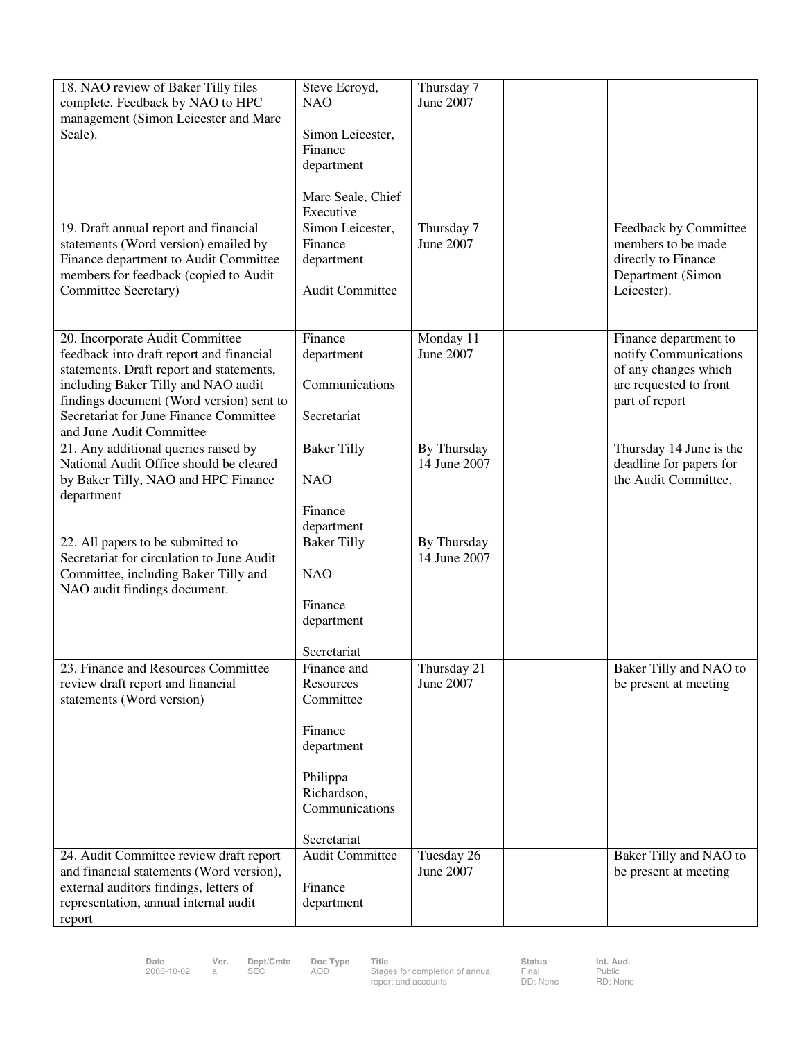| 18. NAO review of Baker Tilly files<br>complete. Feedback by NAO to HPC<br>management (Simon Leicester and Marc<br>Seale).<br>19. Draft annual report and financial                                                                                                              | Steve Ecroyd,<br><b>NAO</b><br>Simon Leicester,<br>Finance<br>department<br>Marc Seale, Chief<br>Executive<br>Simon Leicester, | Thursday 7<br>June 2007<br>Thursday 7 | Feedback by Committee                                                                                              |
|----------------------------------------------------------------------------------------------------------------------------------------------------------------------------------------------------------------------------------------------------------------------------------|--------------------------------------------------------------------------------------------------------------------------------|---------------------------------------|--------------------------------------------------------------------------------------------------------------------|
| statements (Word version) emailed by<br>Finance department to Audit Committee<br>members for feedback (copied to Audit<br>Committee Secretary)                                                                                                                                   | Finance<br>department<br><b>Audit Committee</b>                                                                                | June 2007                             | members to be made<br>directly to Finance<br>Department (Simon<br>Leicester).                                      |
| 20. Incorporate Audit Committee<br>feedback into draft report and financial<br>statements. Draft report and statements,<br>including Baker Tilly and NAO audit<br>findings document (Word version) sent to<br>Secretariat for June Finance Committee<br>and June Audit Committee | Finance<br>department<br>Communications<br>Secretariat                                                                         | Monday 11<br>June 2007                | Finance department to<br>notify Communications<br>of any changes which<br>are requested to front<br>part of report |
| 21. Any additional queries raised by<br>National Audit Office should be cleared<br>by Baker Tilly, NAO and HPC Finance<br>department                                                                                                                                             | <b>Baker Tilly</b><br><b>NAO</b><br>Finance<br>department                                                                      | By Thursday<br>14 June 2007           | Thursday 14 June is the<br>deadline for papers for<br>the Audit Committee.                                         |
| 22. All papers to be submitted to<br>Secretariat for circulation to June Audit<br>Committee, including Baker Tilly and<br>NAO audit findings document.                                                                                                                           | <b>Baker Tilly</b><br><b>NAO</b><br>Finance<br>department<br>Secretariat                                                       | By Thursday<br>14 June 2007           |                                                                                                                    |
| 23. Finance and Resources Committee<br>review draft report and financial<br>statements (Word version)                                                                                                                                                                            | Finance and<br>Resources<br>Committee<br>Finance<br>department<br>Philippa<br>Richardson,<br>Communications<br>Secretariat     | Thursday 21<br>June 2007              | Baker Tilly and NAO to<br>be present at meeting                                                                    |
| 24. Audit Committee review draft report<br>and financial statements (Word version),<br>external auditors findings, letters of<br>representation, annual internal audit<br>report                                                                                                 | <b>Audit Committee</b><br>Finance<br>department                                                                                | Tuesday 26<br>June 2007               | Baker Tilly and NAO to<br>be present at meeting                                                                    |

Final<br>DD: None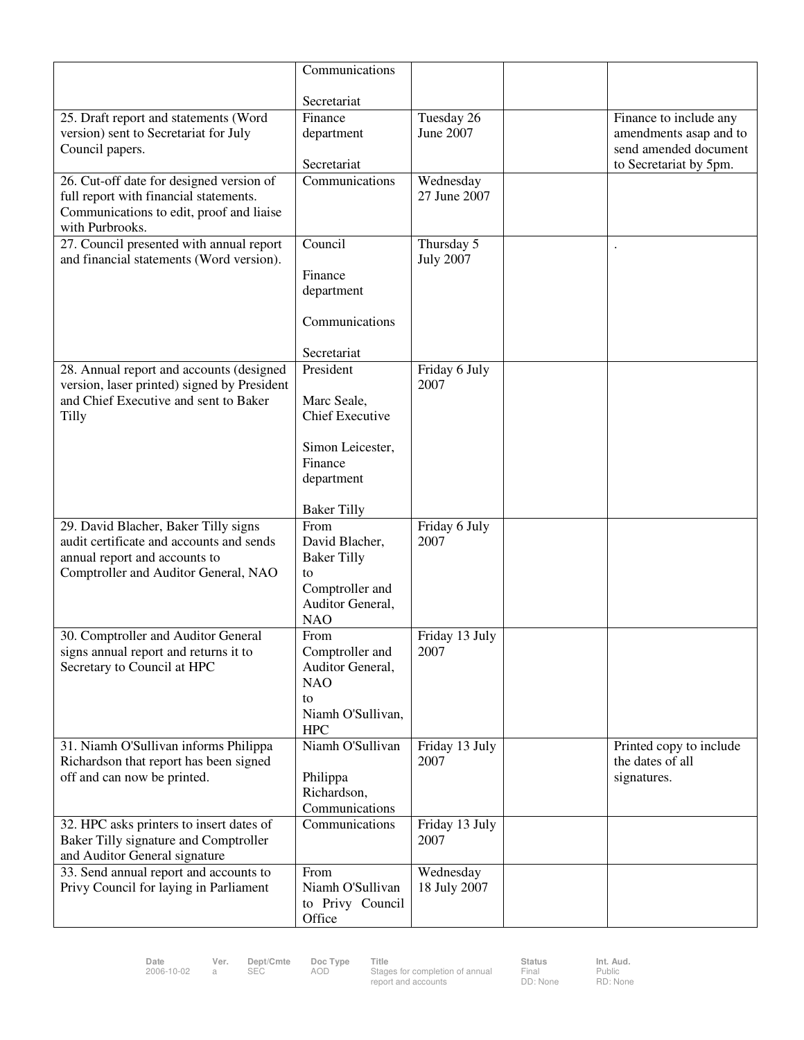|                                                                                   | Communications                  |                        |                         |
|-----------------------------------------------------------------------------------|---------------------------------|------------------------|-------------------------|
|                                                                                   |                                 |                        |                         |
|                                                                                   | Secretariat<br>Finance          | Tuesday 26             | Finance to include any  |
| 25. Draft report and statements (Word<br>version) sent to Secretariat for July    | department                      | June 2007              | amendments asap and to  |
| Council papers.                                                                   |                                 |                        | send amended document   |
|                                                                                   | Secretariat                     |                        | to Secretariat by 5pm.  |
| 26. Cut-off date for designed version of                                          | Communications                  | Wednesday              |                         |
| full report with financial statements.                                            |                                 | 27 June 2007           |                         |
| Communications to edit, proof and liaise<br>with Purbrooks.                       |                                 |                        |                         |
| 27. Council presented with annual report                                          | Council                         | Thursday 5             |                         |
| and financial statements (Word version).                                          |                                 | <b>July 2007</b>       |                         |
|                                                                                   | Finance                         |                        |                         |
|                                                                                   | department                      |                        |                         |
|                                                                                   |                                 |                        |                         |
|                                                                                   | Communications                  |                        |                         |
|                                                                                   | Secretariat                     |                        |                         |
| 28. Annual report and accounts (designed                                          | President                       | Friday 6 July          |                         |
| version, laser printed) signed by President                                       |                                 | 2007                   |                         |
| and Chief Executive and sent to Baker                                             | Marc Seale,                     |                        |                         |
| <b>Tilly</b>                                                                      | <b>Chief Executive</b>          |                        |                         |
|                                                                                   | Simon Leicester,                |                        |                         |
|                                                                                   | Finance                         |                        |                         |
|                                                                                   | department                      |                        |                         |
|                                                                                   |                                 |                        |                         |
|                                                                                   | <b>Baker Tilly</b><br>From      |                        |                         |
| 29. David Blacher, Baker Tilly signs<br>audit certificate and accounts and sends  | David Blacher,                  | Friday 6 July<br>2007  |                         |
| annual report and accounts to                                                     | <b>Baker Tilly</b>              |                        |                         |
| Comptroller and Auditor General, NAO                                              | to                              |                        |                         |
|                                                                                   | Comptroller and                 |                        |                         |
|                                                                                   | Auditor General,<br><b>NAO</b>  |                        |                         |
| 30. Comptroller and Auditor General                                               | From                            | Friday 13 July         |                         |
| signs annual report and returns it to                                             | Comptroller and                 | 2007                   |                         |
| Secretary to Council at HPC                                                       | Auditor General,                |                        |                         |
|                                                                                   | <b>NAO</b>                      |                        |                         |
|                                                                                   | to                              |                        |                         |
|                                                                                   | Niamh O'Sullivan,<br><b>HPC</b> |                        |                         |
| 31. Niamh O'Sullivan informs Philippa                                             | Niamh O'Sullivan                | Friday 13 July         | Printed copy to include |
| Richardson that report has been signed                                            |                                 | 2007                   | the dates of all        |
| off and can now be printed.                                                       | Philippa                        |                        | signatures.             |
|                                                                                   | Richardson,                     |                        |                         |
|                                                                                   | Communications                  |                        |                         |
| 32. HPC asks printers to insert dates of<br>Baker Tilly signature and Comptroller | Communications                  | Friday 13 July<br>2007 |                         |
| and Auditor General signature                                                     |                                 |                        |                         |
| 33. Send annual report and accounts to                                            | From                            | Wednesday              |                         |
| Privy Council for laying in Parliament                                            | Niamh O'Sullivan                | 18 July 2007           |                         |
|                                                                                   | to Privy Council                |                        |                         |
|                                                                                   | Office                          |                        |                         |

Date Ver. Dept/Cmte Doc Type Title **Interport Communist Club Status Int. Aud.**<br>2006-10-02 a SEC AOD Stages for completion of annual Final Public<br>report and accounts DD: None RD: Non

Final<br>DD: None